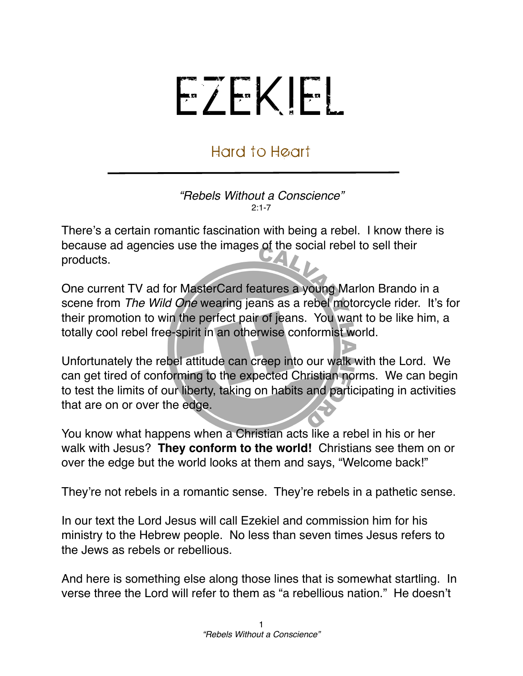## EZEKIEL

## Hard to Heart

*"Rebels Without a Conscience"*  $2.1 - 7$ 

There's a certain romantic fascination with being a rebel. I know there is because ad agencies use the images of the social rebel to sell their products.

One current TV ad for MasterCard features a young Marlon Brando in a scene from *The Wild One* wearing jeans as a rebel motorcycle rider. It's for their promotion to win the perfect pair of jeans. You want to be like him, a totally cool rebel free-spirit in an otherwise conformist world.

Unfortunately the rebel attitude can creep into our walk with the Lord. We can get tired of conforming to the expected Christian norms. We can begin to test the limits of our liberty, taking on habits and participating in activities that are on or over the edge.

You know what happens when a Christian acts like a rebel in his or her walk with Jesus? **They conform to the world!** Christians see them on or over the edge but the world looks at them and says, "Welcome back!"

They're not rebels in a romantic sense. They're rebels in a pathetic sense.

In our text the Lord Jesus will call Ezekiel and commission him for his ministry to the Hebrew people. No less than seven times Jesus refers to the Jews as rebels or rebellious.

And here is something else along those lines that is somewhat startling. In verse three the Lord will refer to them as "a rebellious nation." He doesn't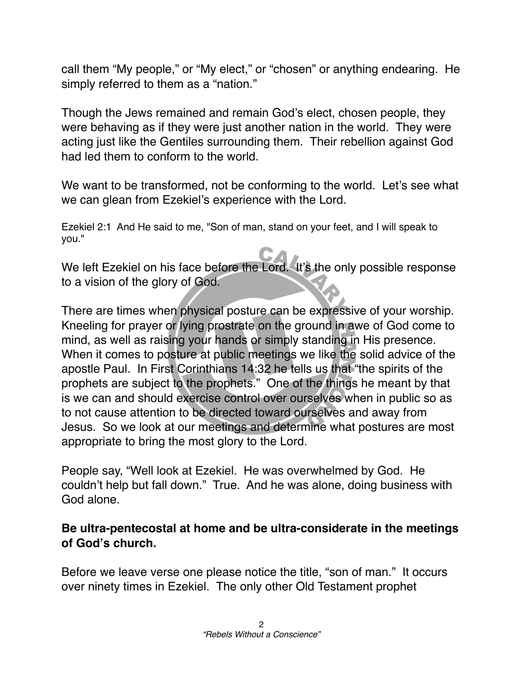call them "My people," or "My elect," or "chosen" or anything endearing. He simply referred to them as a "nation."

Though the Jews remained and remain God's elect, chosen people, they were behaving as if they were just another nation in the world. They were acting just like the Gentiles surrounding them. Their rebellion against God had led them to conform to the world.

We want to be transformed, not be conforming to the world. Let's see what we can glean from Ezekiel's experience with the Lord.

Ezekiel 2:1 And He said to me, "Son of man, stand on your feet, and I will speak to you."

We left Ezekiel on his face before the Lord. It's the only possible response to a vision of the glory of God.

There are times when physical posture can be expressive of your worship. Kneeling for prayer or lying prostrate on the ground in awe of God come to mind, as well as raising your hands or simply standing in His presence. When it comes to posture at public meetings we like the solid advice of the apostle Paul. In First Corinthians 14:32 he tells us that "the spirits of the prophets are subject to the prophets." One of the things he meant by that is we can and should exercise control over ourselves when in public so as to not cause attention to be directed toward ourselves and away from Jesus. So we look at our meetings and determine what postures are most appropriate to bring the most glory to the Lord.

People say, "Well look at Ezekiel. He was overwhelmed by God. He couldn't help but fall down." True. And he was alone, doing business with God alone.

## **Be ultra-pentecostal at home and be ultra-considerate in the meetings of God's church.**

Before we leave verse one please notice the title, "son of man." It occurs over ninety times in Ezekiel. The only other Old Testament prophet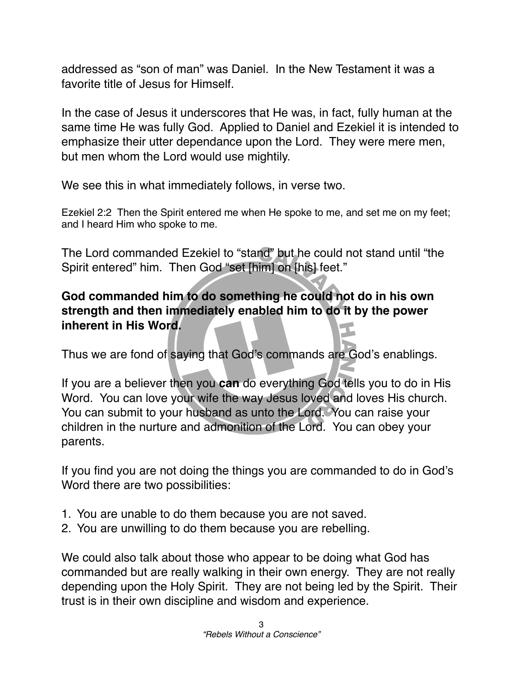addressed as "son of man" was Daniel. In the New Testament it was a favorite title of Jesus for Himself.

In the case of Jesus it underscores that He was, in fact, fully human at the same time He was fully God. Applied to Daniel and Ezekiel it is intended to emphasize their utter dependance upon the Lord. They were mere men, but men whom the Lord would use mightily.

We see this in what immediately follows, in verse two.

Ezekiel 2:2 Then the Spirit entered me when He spoke to me, and set me on my feet; and I heard Him who spoke to me.

The Lord commanded Ezekiel to "stand" but he could not stand until "the Spirit entered" him. Then God "set [him] on [his] feet."

## **God commanded him to do something he could not do in his own strength and then immediately enabled him to do it by the power inherent in His Word.**

Thus we are fond of saying that God's commands are God's enablings.

If you are a believer then you **can** do everything God tells you to do in His Word. You can love your wife the way Jesus loved and loves His church. You can submit to your husband as unto the Lord. You can raise your children in the nurture and admonition of the Lord. You can obey your parents.

If you find you are not doing the things you are commanded to do in God's Word there are two possibilities:

- 1. You are unable to do them because you are not saved.
- 2. You are unwilling to do them because you are rebelling.

We could also talk about those who appear to be doing what God has commanded but are really walking in their own energy. They are not really depending upon the Holy Spirit. They are not being led by the Spirit. Their trust is in their own discipline and wisdom and experience.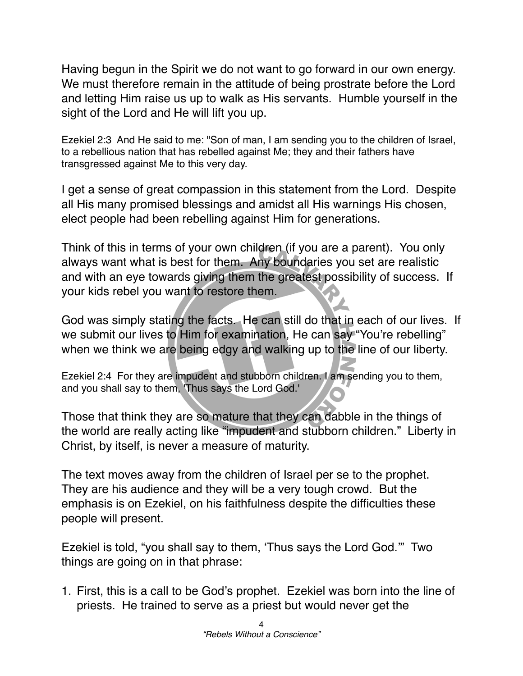Having begun in the Spirit we do not want to go forward in our own energy. We must therefore remain in the attitude of being prostrate before the Lord and letting Him raise us up to walk as His servants. Humble yourself in the sight of the Lord and He will lift you up.

Ezekiel 2:3 And He said to me: "Son of man, I am sending you to the children of Israel, to a rebellious nation that has rebelled against Me; they and their fathers have transgressed against Me to this very day.

I get a sense of great compassion in this statement from the Lord. Despite all His many promised blessings and amidst all His warnings His chosen, elect people had been rebelling against Him for generations.

Think of this in terms of your own children (if you are a parent). You only always want what is best for them. Any boundaries you set are realistic and with an eye towards giving them the greatest possibility of success. If your kids rebel you want to restore them.

God was simply stating the facts. He can still do that in each of our lives. If we submit our lives to Him for examination, He can say "You're rebelling" when we think we are being edgy and walking up to the line of our liberty.

Ezekiel 2:4 For they are impudent and stubborn children. I am sending you to them, and you shall say to them, 'Thus says the Lord God.'

Those that think they are so mature that they can dabble in the things of the world are really acting like "impudent and stubborn children." Liberty in Christ, by itself, is never a measure of maturity.

The text moves away from the children of Israel per se to the prophet. They are his audience and they will be a very tough crowd. But the emphasis is on Ezekiel, on his faithfulness despite the difficulties these people will present.

Ezekiel is told, "you shall say to them, ʻThus says the Lord God.'" Two things are going on in that phrase:

1. First, this is a call to be God's prophet. Ezekiel was born into the line of priests. He trained to serve as a priest but would never get the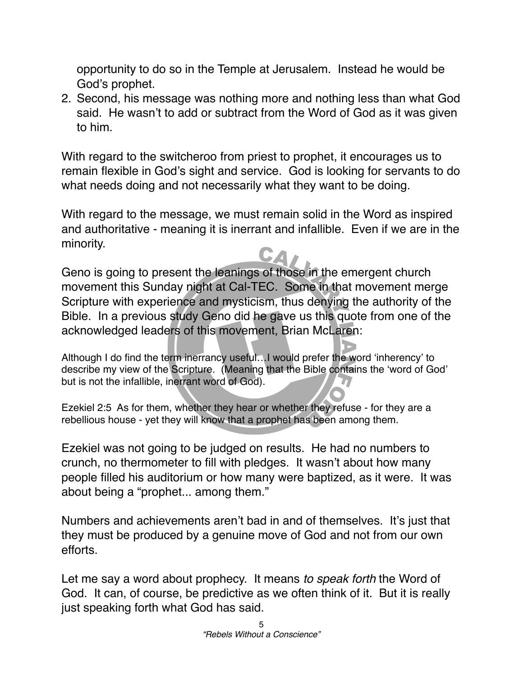opportunity to do so in the Temple at Jerusalem. Instead he would be God's prophet.

2. Second, his message was nothing more and nothing less than what God said. He wasn't to add or subtract from the Word of God as it was given to him.

With regard to the switcheroo from priest to prophet, it encourages us to remain flexible in God's sight and service. God is looking for servants to do what needs doing and not necessarily what they want to be doing.

With regard to the message, we must remain solid in the Word as inspired and authoritative - meaning it is inerrant and infallible. Even if we are in the minority.

Geno is going to present the leanings of those in the emergent church movement this Sunday night at Cal-TEC. Some in that movement merge Scripture with experience and mysticism, thus denying the authority of the Bible. In a previous study Geno did he gave us this quote from one of the acknowledged leaders of this movement, Brian McLaren:

Although I do find the term inerrancy useful…I would prefer the word ʻinherency' to describe my view of the Scripture. (Meaning that the Bible contains the ʻword of God' but is not the infallible, inerrant word of God).

Ezekiel 2:5 As for them, whether they hear or whether they refuse - for they are a rebellious house - yet they will know that a prophet has been among them.

Ezekiel was not going to be judged on results. He had no numbers to crunch, no thermometer to fill with pledges. It wasn't about how many people filled his auditorium or how many were baptized, as it were. It was about being a "prophet... among them."

Numbers and achievements aren't bad in and of themselves. It's just that they must be produced by a genuine move of God and not from our own efforts.

Let me say a word about prophecy. It means *to speak forth* the Word of God. It can, of course, be predictive as we often think of it. But it is really just speaking forth what God has said.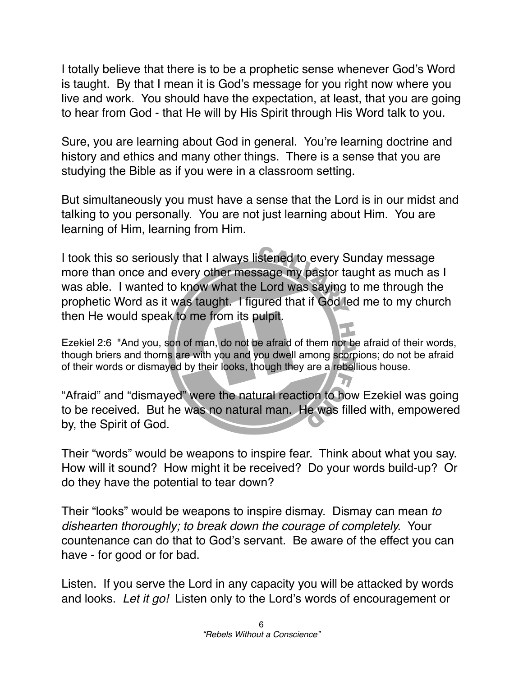I totally believe that there is to be a prophetic sense whenever God's Word is taught. By that I mean it is God's message for you right now where you live and work. You should have the expectation, at least, that you are going to hear from God - that He will by His Spirit through His Word talk to you.

Sure, you are learning about God in general. You're learning doctrine and history and ethics and many other things. There is a sense that you are studying the Bible as if you were in a classroom setting.

But simultaneously you must have a sense that the Lord is in our midst and talking to you personally. You are not just learning about Him. You are learning of Him, learning from Him.

I took this so seriously that I always listened to every Sunday message more than once and every other message my pastor taught as much as I was able. I wanted to know what the Lord was saying to me through the prophetic Word as it was taught. I figured that if God led me to my church then He would speak to me from its pulpit.

Ezekiel 2:6 "And you, son of man, do not be afraid of them nor be afraid of their words, though briers and thorns are with you and you dwell among scorpions; do not be afraid of their words or dismayed by their looks, though they are a rebellious house.

"Afraid" and "dismayed" were the natural reaction to how Ezekiel was going to be received. But he was no natural man. He was filled with, empowered by, the Spirit of God.

Their "words" would be weapons to inspire fear. Think about what you say. How will it sound? How might it be received? Do your words build-up? Or do they have the potential to tear down?

Their "looks" would be weapons to inspire dismay. Dismay can mean *to dishearten thoroughly; to break down the courage of completely.* Your countenance can do that to God's servant. Be aware of the effect you can have - for good or for bad.

Listen. If you serve the Lord in any capacity you will be attacked by words and looks. *Let it go!* Listen only to the Lord's words of encouragement or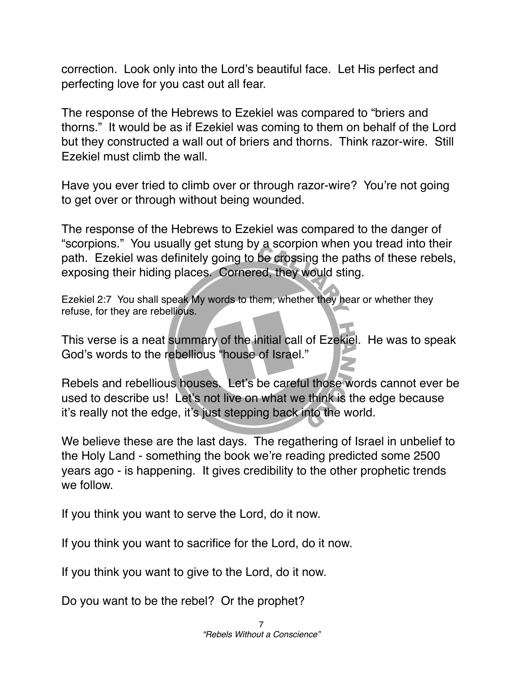correction. Look only into the Lord's beautiful face. Let His perfect and perfecting love for you cast out all fear.

The response of the Hebrews to Ezekiel was compared to "briers and thorns." It would be as if Ezekiel was coming to them on behalf of the Lord but they constructed a wall out of briers and thorns. Think razor-wire. Still Ezekiel must climb the wall.

Have you ever tried to climb over or through razor-wire? You're not going to get over or through without being wounded.

The response of the Hebrews to Ezekiel was compared to the danger of "scorpions." You usually get stung by a scorpion when you tread into their path. Ezekiel was definitely going to be crossing the paths of these rebels, exposing their hiding places. Cornered, they would sting.

Ezekiel 2:7 You shall speak My words to them, whether they hear or whether they refuse, for they are rebellious.

This verse is a neat summary of the initial call of Ezekiel. He was to speak God's words to the rebellious "house of Israel."

Rebels and rebellious houses. Let's be careful those words cannot ever be used to describe us! Let's not live on what we think is the edge because it's really not the edge, it's just stepping back into the world.

We believe these are the last days. The regathering of Israel in unbelief to the Holy Land - something the book we're reading predicted some 2500 years ago - is happening. It gives credibility to the other prophetic trends we follow

If you think you want to serve the Lord, do it now.

If you think you want to sacrifice for the Lord, do it now.

If you think you want to give to the Lord, do it now.

Do you want to be the rebel? Or the prophet?